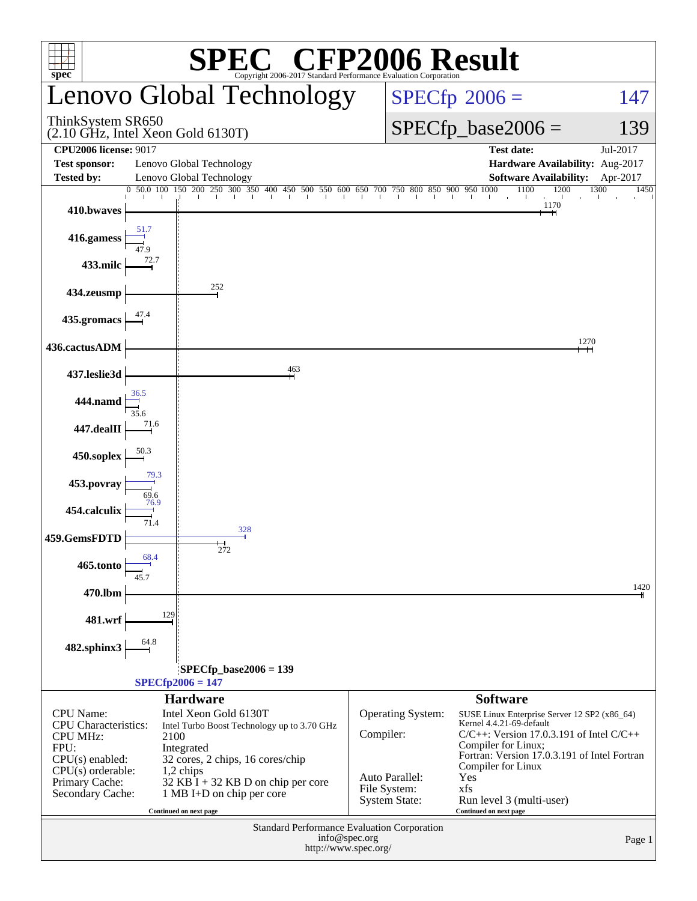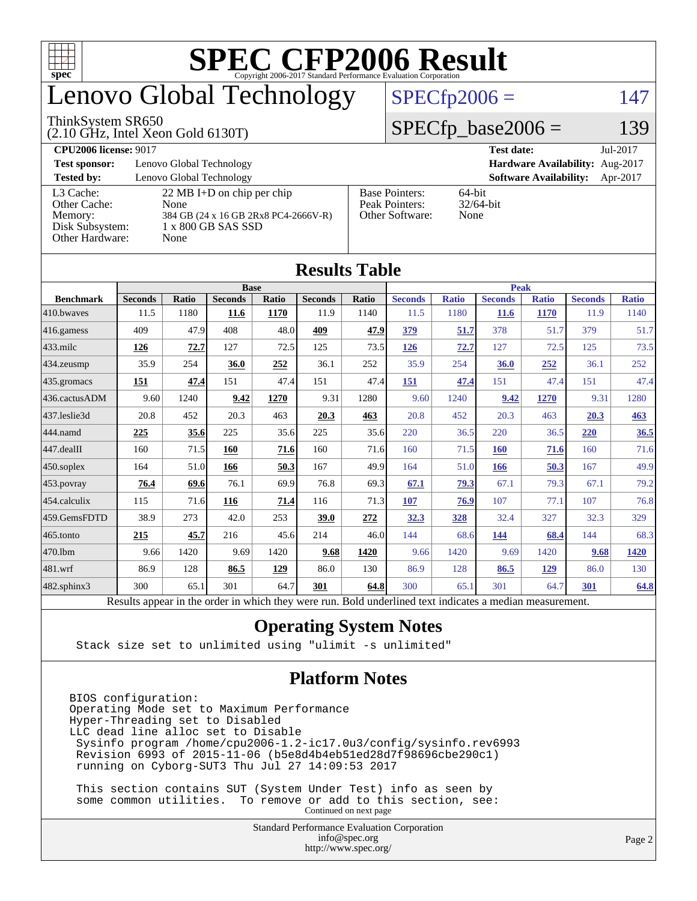

# enovo Global Technology

#### ThinkSystem SR650

(2.10 GHz, Intel Xeon Gold 6130T)

#### $SPECfp2006 = 147$  $SPECfp2006 = 147$

#### $SPECfp\_base2006 = 139$

**[CPU2006 license:](http://www.spec.org/auto/cpu2006/Docs/result-fields.html#CPU2006license)** 9017 **[Test date:](http://www.spec.org/auto/cpu2006/Docs/result-fields.html#Testdate)** Jul-2017 **[Test sponsor:](http://www.spec.org/auto/cpu2006/Docs/result-fields.html#Testsponsor)** Lenovo Global Technology **[Hardware Availability:](http://www.spec.org/auto/cpu2006/Docs/result-fields.html#HardwareAvailability)** Aug-2017 **[Tested by:](http://www.spec.org/auto/cpu2006/Docs/result-fields.html#Testedby)** Lenovo Global Technology **[Software Availability:](http://www.spec.org/auto/cpu2006/Docs/result-fields.html#SoftwareAvailability)** Apr-2017 [L3 Cache:](http://www.spec.org/auto/cpu2006/Docs/result-fields.html#L3Cache) 22 MB I+D on chip per chip<br>Other Cache: None [Other Cache:](http://www.spec.org/auto/cpu2006/Docs/result-fields.html#OtherCache) [Memory:](http://www.spec.org/auto/cpu2006/Docs/result-fields.html#Memory) 384 GB (24 x 16 GB 2Rx8 PC4-2666V-R) [Disk Subsystem:](http://www.spec.org/auto/cpu2006/Docs/result-fields.html#DiskSubsystem) 1 x 800 GB SAS SSD [Other Hardware:](http://www.spec.org/auto/cpu2006/Docs/result-fields.html#OtherHardware) None [Base Pointers:](http://www.spec.org/auto/cpu2006/Docs/result-fields.html#BasePointers) 64-bit<br>Peak Pointers: 32/64-bit [Peak Pointers:](http://www.spec.org/auto/cpu2006/Docs/result-fields.html#PeakPointers) [Other Software:](http://www.spec.org/auto/cpu2006/Docs/result-fields.html#OtherSoftware) None

**[Results Table](http://www.spec.org/auto/cpu2006/Docs/result-fields.html#ResultsTable)**

| Results Table    |                                                                                                          |              |                |       |                |       |                |              |                |              |                |              |
|------------------|----------------------------------------------------------------------------------------------------------|--------------|----------------|-------|----------------|-------|----------------|--------------|----------------|--------------|----------------|--------------|
|                  | <b>Base</b>                                                                                              |              |                |       |                |       | <b>Peak</b>    |              |                |              |                |              |
| <b>Benchmark</b> | <b>Seconds</b>                                                                                           | <b>Ratio</b> | <b>Seconds</b> | Ratio | <b>Seconds</b> | Ratio | <b>Seconds</b> | <b>Ratio</b> | <b>Seconds</b> | <b>Ratio</b> | <b>Seconds</b> | <b>Ratio</b> |
| 410.bwayes       | 11.5                                                                                                     | 1180         | 11.6           | 1170  | 11.9           | 1140  | 11.5           | 1180         | <b>11.6</b>    | 1170         | 11.9           | 1140         |
| 416.gamess       | 409                                                                                                      | 47.9         | 408            | 48.0  | 409            | 47.9  | 379            | 51.7         | 378            | 51.7         | 379            | 51.7         |
| $433$ .milc      | 126                                                                                                      | 72.7         | 127            | 72.5  | 125            | 73.5  | 126            | 72.7         | 127            | 72.5         | 125            | 73.5         |
| $434$ . zeusmp   | 35.9                                                                                                     | 254          | 36.0           | 252   | 36.1           | 252   | 35.9           | 254          | 36.0           | 252          | 36.1           | 252          |
| 435.gromacs      | 151                                                                                                      | 47.4         | 151            | 47.4  | 151            | 47.4  | 151            | 47.4         | 151            | 47.4         | 151            | 47.4         |
| 436.cactusADM    | 9.60                                                                                                     | 1240         | 9.42           | 1270  | 9.31           | 1280  | 9.60           | 1240         | 9.42           | 1270         | 9.31           | 1280         |
| 437.leslie3d     | 20.8                                                                                                     | 452          | 20.3           | 463   | 20.3           | 463   | 20.8           | 452          | 20.3           | 463          | 20.3           | 463          |
| 444.namd         | 225                                                                                                      | 35.6         | 225            | 35.6  | 225            | 35.6  | 220            | 36.5         | 220            | 36.5         | 220            | 36.5         |
| 447.dealII       | 160                                                                                                      | 71.5         | 160            | 71.6  | 160            | 71.6  | 160            | 71.5         | 160            | 71.6         | 160            | 71.6         |
| $ 450$ .soplex   | 164                                                                                                      | 51.0         | 166            | 50.3  | 167            | 49.9  | 164            | 51.0         | 166            | 50.3         | 167            | 49.9         |
| 453.povray       | 76.4                                                                                                     | 69.6         | 76.1           | 69.9  | 76.8           | 69.3  | 67.1           | 79.3         | 67.1           | 79.3         | 67.1           | 79.2         |
| $ 454$ .calculix | 115                                                                                                      | 71.6         | 116            | 71.4  | 116            | 71.3  | 107            | 76.9         | 107            | 77.1         | 107            | 76.8         |
| 459.GemsFDTD     | 38.9                                                                                                     | 273          | 42.0           | 253   | 39.0           | 272   | 32.3           | 328          | 32.4           | 327          | 32.3           | 329          |
| $465$ .tonto     | 215                                                                                                      | 45.7         | 216            | 45.6  | 214            | 46.0  | 144            | 68.6         | <u>144</u>     | 68.4         | 144            | 68.3         |
| 470.1bm          | 9.66                                                                                                     | 1420         | 9.69           | 1420  | 9.68           | 1420  | 9.66           | 1420         | 9.69           | 1420         | 9.68           | 1420         |
| $ 481$ .wrf      | 86.9                                                                                                     | 128          | 86.5           | 129   | 86.0           | 130   | 86.9           | 128          | 86.5           | <u>129</u>   | 86.0           | 130          |
| 482.sphinx3      | 300                                                                                                      | 65.1         | 301            | 64.7  | 301            | 64.8  | 300            | 65.1         | 301            | 64.7         | 301            | 64.8         |
|                  | Results appear in the order in which they were run. Bold underlined text indicates a median measurement. |              |                |       |                |       |                |              |                |              |                |              |

#### **[Operating System Notes](http://www.spec.org/auto/cpu2006/Docs/result-fields.html#OperatingSystemNotes)**

Stack size set to unlimited using "ulimit -s unlimited"

#### **[Platform Notes](http://www.spec.org/auto/cpu2006/Docs/result-fields.html#PlatformNotes)**

BIOS configuration: Operating Mode set to Maximum Performance Hyper-Threading set to Disabled LLC dead line alloc set to Disable Sysinfo program /home/cpu2006-1.2-ic17.0u3/config/sysinfo.rev6993 Revision 6993 of 2015-11-06 (b5e8d4b4eb51ed28d7f98696cbe290c1) running on Cyborg-SUT3 Thu Jul 27 14:09:53 2017

 This section contains SUT (System Under Test) info as seen by some common utilities. To remove or add to this section, see: Continued on next page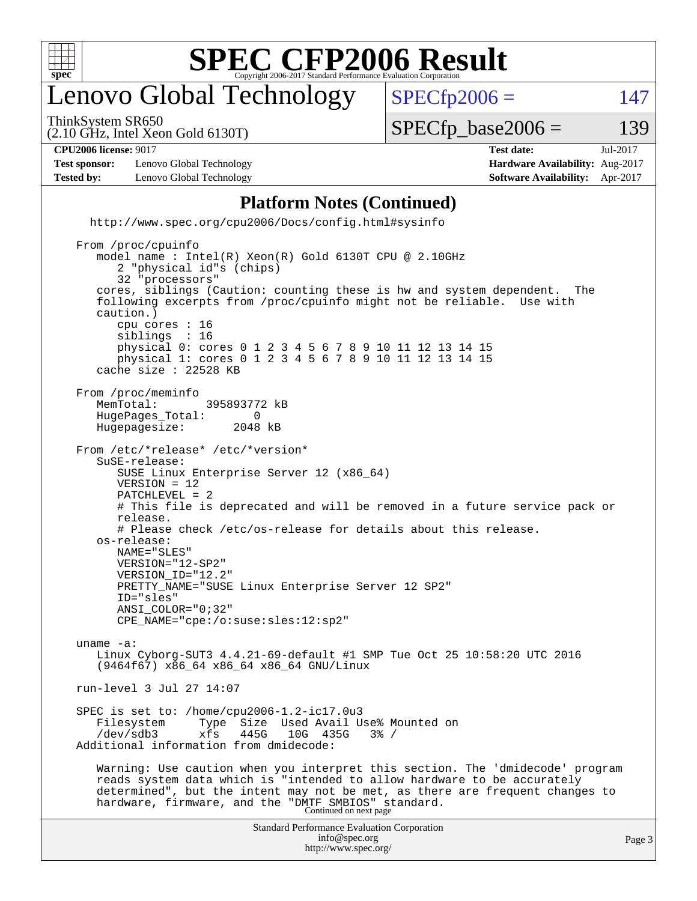

## enovo Global Technology

ThinkSystem SR650

 $SPECTp2006 = 147$ 

(2.10 GHz, Intel Xeon Gold 6130T)

 $SPECTp\_base2006 = 139$ 

**[CPU2006 license:](http://www.spec.org/auto/cpu2006/Docs/result-fields.html#CPU2006license)** 9017 **[Test date:](http://www.spec.org/auto/cpu2006/Docs/result-fields.html#Testdate)** Jul-2017

**[Test sponsor:](http://www.spec.org/auto/cpu2006/Docs/result-fields.html#Testsponsor)** Lenovo Global Technology **[Hardware Availability:](http://www.spec.org/auto/cpu2006/Docs/result-fields.html#HardwareAvailability)** Aug-2017 **[Tested by:](http://www.spec.org/auto/cpu2006/Docs/result-fields.html#Testedby)** Lenovo Global Technology **[Software Availability:](http://www.spec.org/auto/cpu2006/Docs/result-fields.html#SoftwareAvailability)** Apr-2017

#### **[Platform Notes \(Continued\)](http://www.spec.org/auto/cpu2006/Docs/result-fields.html#PlatformNotes)**

<http://www.spec.org/cpu2006/Docs/config.html#sysinfo>

Standard Performance Evaluation Corporation [info@spec.org](mailto:info@spec.org) From /proc/cpuinfo model name : Intel(R) Xeon(R) Gold 6130T CPU @ 2.10GHz 2 "physical id"s (chips) 32 "processors" cores, siblings (Caution: counting these is hw and system dependent. The following excerpts from /proc/cpuinfo might not be reliable. Use with caution.) cpu cores : 16 siblings : 16 physical 0: cores 0 1 2 3 4 5 6 7 8 9 10 11 12 13 14 15 physical 1: cores 0 1 2 3 4 5 6 7 8 9 10 11 12 13 14 15 cache size : 22528 KB From /proc/meminfo<br>MemTotal: 395893772 kB HugePages\_Total: 0<br>Hugepagesize: 2048 kB Hugepagesize: From /etc/\*release\* /etc/\*version\* SuSE-release: SUSE Linux Enterprise Server 12 (x86\_64) VERSION = 12 PATCHLEVEL = 2 # This file is deprecated and will be removed in a future service pack or release. # Please check /etc/os-release for details about this release. os-release: NAME="SLES" VERSION="12-SP2" VERSION\_ID="12.2" PRETTY\_NAME="SUSE Linux Enterprise Server 12 SP2" ID="sles" ANSI\_COLOR="0;32" CPE\_NAME="cpe:/o:suse:sles:12:sp2" uname -a: Linux Cyborg-SUT3 4.4.21-69-default #1 SMP Tue Oct 25 10:58:20 UTC 2016 (9464f67) x86\_64 x86\_64 x86\_64 GNU/Linux run-level 3 Jul 27 14:07 SPEC is set to: /home/cpu2006-1.2-ic17.0u3 Filesystem Type Size Used Avail Use% Mounted on /dev/sdb3 xfs 445G 10G 435G 3% / Additional information from dmidecode: Warning: Use caution when you interpret this section. The 'dmidecode' program reads system data which is "intended to allow hardware to be accurately determined", but the intent may not be met, as there are frequent changes to hardware, firmware, and the "DMTF SMBIOS" standard.<br>Continued on next page

<http://www.spec.org/>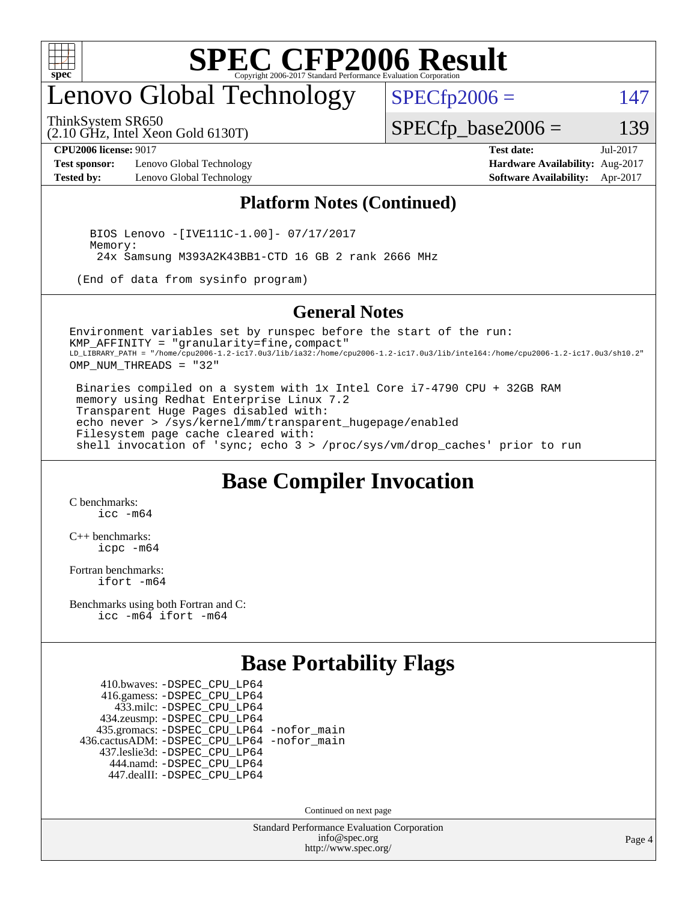

## enovo Global Technology

ThinkSystem SR650

(2.10 GHz, Intel Xeon Gold 6130T)

 $SPECTp2006 = 147$ 

 $SPECTp\_base2006 = 139$ 

**[Test sponsor:](http://www.spec.org/auto/cpu2006/Docs/result-fields.html#Testsponsor)** Lenovo Global Technology **[Hardware Availability:](http://www.spec.org/auto/cpu2006/Docs/result-fields.html#HardwareAvailability)** Aug-2017 **[Tested by:](http://www.spec.org/auto/cpu2006/Docs/result-fields.html#Testedby)** Lenovo Global Technology **[Software Availability:](http://www.spec.org/auto/cpu2006/Docs/result-fields.html#SoftwareAvailability)** Apr-2017

**[CPU2006 license:](http://www.spec.org/auto/cpu2006/Docs/result-fields.html#CPU2006license)** 9017 **[Test date:](http://www.spec.org/auto/cpu2006/Docs/result-fields.html#Testdate)** Jul-2017

#### **[Platform Notes \(Continued\)](http://www.spec.org/auto/cpu2006/Docs/result-fields.html#PlatformNotes)**

 BIOS Lenovo -[IVE111C-1.00]- 07/17/2017 Memory: 24x Samsung M393A2K43BB1-CTD 16 GB 2 rank 2666 MHz

(End of data from sysinfo program)

#### **[General Notes](http://www.spec.org/auto/cpu2006/Docs/result-fields.html#GeneralNotes)**

Environment variables set by runspec before the start of the run: KMP\_AFFINITY = "granularity=fine,compact" LD\_LIBRARY\_PATH = "/home/cpu2006-1.2-ic17.0u3/lib/ia32:/home/cpu2006-1.2-ic17.0u3/lib/intel64:/home/cpu2006-1.2-ic17.0u3/sh10.2" OMP NUM THREADS = "32"

 Binaries compiled on a system with 1x Intel Core i7-4790 CPU + 32GB RAM memory using Redhat Enterprise Linux 7.2 Transparent Huge Pages disabled with: echo never > /sys/kernel/mm/transparent\_hugepage/enabled Filesystem page cache cleared with: shell invocation of 'sync; echo 3 > /proc/sys/vm/drop\_caches' prior to run

#### **[Base Compiler Invocation](http://www.spec.org/auto/cpu2006/Docs/result-fields.html#BaseCompilerInvocation)**

[C benchmarks](http://www.spec.org/auto/cpu2006/Docs/result-fields.html#Cbenchmarks): [icc -m64](http://www.spec.org/cpu2006/results/res2017q4/cpu2006-20170918-49729.flags.html#user_CCbase_intel_icc_64bit_bda6cc9af1fdbb0edc3795bac97ada53)

[C++ benchmarks:](http://www.spec.org/auto/cpu2006/Docs/result-fields.html#CXXbenchmarks) [icpc -m64](http://www.spec.org/cpu2006/results/res2017q4/cpu2006-20170918-49729.flags.html#user_CXXbase_intel_icpc_64bit_fc66a5337ce925472a5c54ad6a0de310)

[Fortran benchmarks](http://www.spec.org/auto/cpu2006/Docs/result-fields.html#Fortranbenchmarks): [ifort -m64](http://www.spec.org/cpu2006/results/res2017q4/cpu2006-20170918-49729.flags.html#user_FCbase_intel_ifort_64bit_ee9d0fb25645d0210d97eb0527dcc06e)

[Benchmarks using both Fortran and C](http://www.spec.org/auto/cpu2006/Docs/result-fields.html#BenchmarksusingbothFortranandC): [icc -m64](http://www.spec.org/cpu2006/results/res2017q4/cpu2006-20170918-49729.flags.html#user_CC_FCbase_intel_icc_64bit_bda6cc9af1fdbb0edc3795bac97ada53) [ifort -m64](http://www.spec.org/cpu2006/results/res2017q4/cpu2006-20170918-49729.flags.html#user_CC_FCbase_intel_ifort_64bit_ee9d0fb25645d0210d97eb0527dcc06e)

#### **[Base Portability Flags](http://www.spec.org/auto/cpu2006/Docs/result-fields.html#BasePortabilityFlags)**

 410.bwaves: [-DSPEC\\_CPU\\_LP64](http://www.spec.org/cpu2006/results/res2017q4/cpu2006-20170918-49729.flags.html#suite_basePORTABILITY410_bwaves_DSPEC_CPU_LP64) 416.gamess: [-DSPEC\\_CPU\\_LP64](http://www.spec.org/cpu2006/results/res2017q4/cpu2006-20170918-49729.flags.html#suite_basePORTABILITY416_gamess_DSPEC_CPU_LP64) 433.milc: [-DSPEC\\_CPU\\_LP64](http://www.spec.org/cpu2006/results/res2017q4/cpu2006-20170918-49729.flags.html#suite_basePORTABILITY433_milc_DSPEC_CPU_LP64) 434.zeusmp: [-DSPEC\\_CPU\\_LP64](http://www.spec.org/cpu2006/results/res2017q4/cpu2006-20170918-49729.flags.html#suite_basePORTABILITY434_zeusmp_DSPEC_CPU_LP64) 435.gromacs: [-DSPEC\\_CPU\\_LP64](http://www.spec.org/cpu2006/results/res2017q4/cpu2006-20170918-49729.flags.html#suite_basePORTABILITY435_gromacs_DSPEC_CPU_LP64) [-nofor\\_main](http://www.spec.org/cpu2006/results/res2017q4/cpu2006-20170918-49729.flags.html#user_baseLDPORTABILITY435_gromacs_f-nofor_main) 436.cactusADM: [-DSPEC\\_CPU\\_LP64](http://www.spec.org/cpu2006/results/res2017q4/cpu2006-20170918-49729.flags.html#suite_basePORTABILITY436_cactusADM_DSPEC_CPU_LP64) [-nofor\\_main](http://www.spec.org/cpu2006/results/res2017q4/cpu2006-20170918-49729.flags.html#user_baseLDPORTABILITY436_cactusADM_f-nofor_main) 437.leslie3d: [-DSPEC\\_CPU\\_LP64](http://www.spec.org/cpu2006/results/res2017q4/cpu2006-20170918-49729.flags.html#suite_basePORTABILITY437_leslie3d_DSPEC_CPU_LP64) 444.namd: [-DSPEC\\_CPU\\_LP64](http://www.spec.org/cpu2006/results/res2017q4/cpu2006-20170918-49729.flags.html#suite_basePORTABILITY444_namd_DSPEC_CPU_LP64) 447.dealII: [-DSPEC\\_CPU\\_LP64](http://www.spec.org/cpu2006/results/res2017q4/cpu2006-20170918-49729.flags.html#suite_basePORTABILITY447_dealII_DSPEC_CPU_LP64)

Continued on next page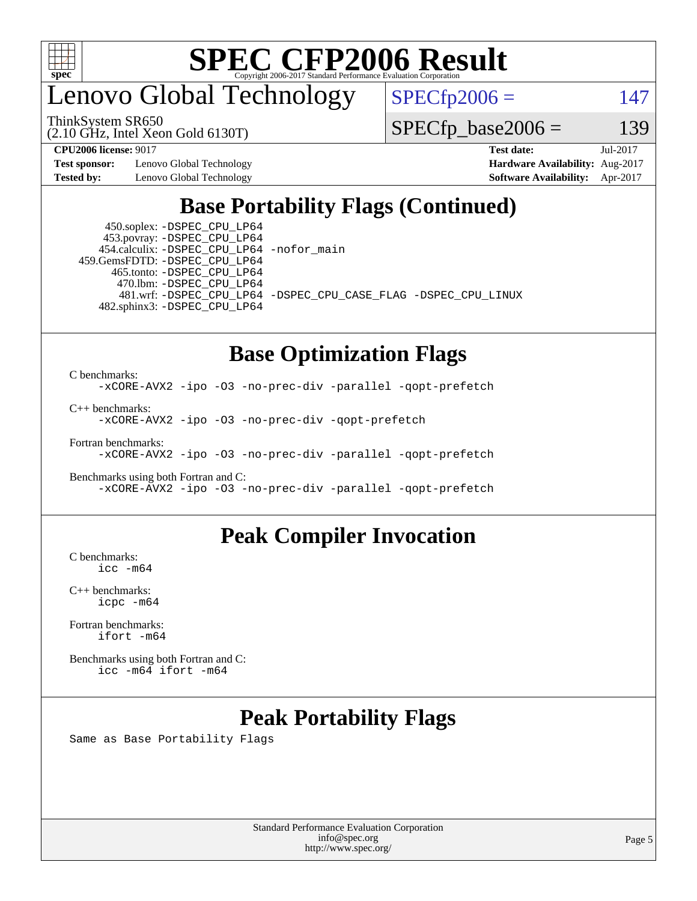

### enovo Global Technology

ThinkSystem SR650

(2.10 GHz, Intel Xeon Gold 6130T)

 $SPECfp2006 = 147$  $SPECfp2006 = 147$ 

 $SPECTp\_base2006 = 139$ 

**[Test sponsor:](http://www.spec.org/auto/cpu2006/Docs/result-fields.html#Testsponsor)** Lenovo Global Technology **[Hardware Availability:](http://www.spec.org/auto/cpu2006/Docs/result-fields.html#HardwareAvailability)** Aug-2017

**[CPU2006 license:](http://www.spec.org/auto/cpu2006/Docs/result-fields.html#CPU2006license)** 9017 **[Test date:](http://www.spec.org/auto/cpu2006/Docs/result-fields.html#Testdate)** Jul-2017 **[Tested by:](http://www.spec.org/auto/cpu2006/Docs/result-fields.html#Testedby)** Lenovo Global Technology **[Software Availability:](http://www.spec.org/auto/cpu2006/Docs/result-fields.html#SoftwareAvailability)** Apr-2017

### **[Base Portability Flags \(Continued\)](http://www.spec.org/auto/cpu2006/Docs/result-fields.html#BasePortabilityFlags)**

 450.soplex: [-DSPEC\\_CPU\\_LP64](http://www.spec.org/cpu2006/results/res2017q4/cpu2006-20170918-49729.flags.html#suite_basePORTABILITY450_soplex_DSPEC_CPU_LP64) 453.povray: [-DSPEC\\_CPU\\_LP64](http://www.spec.org/cpu2006/results/res2017q4/cpu2006-20170918-49729.flags.html#suite_basePORTABILITY453_povray_DSPEC_CPU_LP64) 454.calculix: [-DSPEC\\_CPU\\_LP64](http://www.spec.org/cpu2006/results/res2017q4/cpu2006-20170918-49729.flags.html#suite_basePORTABILITY454_calculix_DSPEC_CPU_LP64) [-nofor\\_main](http://www.spec.org/cpu2006/results/res2017q4/cpu2006-20170918-49729.flags.html#user_baseLDPORTABILITY454_calculix_f-nofor_main) 459.GemsFDTD: [-DSPEC\\_CPU\\_LP64](http://www.spec.org/cpu2006/results/res2017q4/cpu2006-20170918-49729.flags.html#suite_basePORTABILITY459_GemsFDTD_DSPEC_CPU_LP64) 465.tonto: [-DSPEC\\_CPU\\_LP64](http://www.spec.org/cpu2006/results/res2017q4/cpu2006-20170918-49729.flags.html#suite_basePORTABILITY465_tonto_DSPEC_CPU_LP64) 470.lbm: [-DSPEC\\_CPU\\_LP64](http://www.spec.org/cpu2006/results/res2017q4/cpu2006-20170918-49729.flags.html#suite_basePORTABILITY470_lbm_DSPEC_CPU_LP64) 482.sphinx3: [-DSPEC\\_CPU\\_LP64](http://www.spec.org/cpu2006/results/res2017q4/cpu2006-20170918-49729.flags.html#suite_basePORTABILITY482_sphinx3_DSPEC_CPU_LP64)

481.wrf: [-DSPEC\\_CPU\\_LP64](http://www.spec.org/cpu2006/results/res2017q4/cpu2006-20170918-49729.flags.html#suite_basePORTABILITY481_wrf_DSPEC_CPU_LP64) [-DSPEC\\_CPU\\_CASE\\_FLAG](http://www.spec.org/cpu2006/results/res2017q4/cpu2006-20170918-49729.flags.html#b481.wrf_baseCPORTABILITY_DSPEC_CPU_CASE_FLAG) [-DSPEC\\_CPU\\_LINUX](http://www.spec.org/cpu2006/results/res2017q4/cpu2006-20170918-49729.flags.html#b481.wrf_baseCPORTABILITY_DSPEC_CPU_LINUX)

#### **[Base Optimization Flags](http://www.spec.org/auto/cpu2006/Docs/result-fields.html#BaseOptimizationFlags)**

[C benchmarks](http://www.spec.org/auto/cpu2006/Docs/result-fields.html#Cbenchmarks): [-xCORE-AVX2](http://www.spec.org/cpu2006/results/res2017q4/cpu2006-20170918-49729.flags.html#user_CCbase_f-xCORE-AVX2) [-ipo](http://www.spec.org/cpu2006/results/res2017q4/cpu2006-20170918-49729.flags.html#user_CCbase_f-ipo) [-O3](http://www.spec.org/cpu2006/results/res2017q4/cpu2006-20170918-49729.flags.html#user_CCbase_f-O3) [-no-prec-div](http://www.spec.org/cpu2006/results/res2017q4/cpu2006-20170918-49729.flags.html#user_CCbase_f-no-prec-div) [-parallel](http://www.spec.org/cpu2006/results/res2017q4/cpu2006-20170918-49729.flags.html#user_CCbase_f-parallel) [-qopt-prefetch](http://www.spec.org/cpu2006/results/res2017q4/cpu2006-20170918-49729.flags.html#user_CCbase_f-qopt-prefetch)

[C++ benchmarks:](http://www.spec.org/auto/cpu2006/Docs/result-fields.html#CXXbenchmarks)

[-xCORE-AVX2](http://www.spec.org/cpu2006/results/res2017q4/cpu2006-20170918-49729.flags.html#user_CXXbase_f-xCORE-AVX2) [-ipo](http://www.spec.org/cpu2006/results/res2017q4/cpu2006-20170918-49729.flags.html#user_CXXbase_f-ipo) [-O3](http://www.spec.org/cpu2006/results/res2017q4/cpu2006-20170918-49729.flags.html#user_CXXbase_f-O3) [-no-prec-div](http://www.spec.org/cpu2006/results/res2017q4/cpu2006-20170918-49729.flags.html#user_CXXbase_f-no-prec-div) [-qopt-prefetch](http://www.spec.org/cpu2006/results/res2017q4/cpu2006-20170918-49729.flags.html#user_CXXbase_f-qopt-prefetch)

[Fortran benchmarks](http://www.spec.org/auto/cpu2006/Docs/result-fields.html#Fortranbenchmarks):

[-xCORE-AVX2](http://www.spec.org/cpu2006/results/res2017q4/cpu2006-20170918-49729.flags.html#user_FCbase_f-xCORE-AVX2) [-ipo](http://www.spec.org/cpu2006/results/res2017q4/cpu2006-20170918-49729.flags.html#user_FCbase_f-ipo) [-O3](http://www.spec.org/cpu2006/results/res2017q4/cpu2006-20170918-49729.flags.html#user_FCbase_f-O3) [-no-prec-div](http://www.spec.org/cpu2006/results/res2017q4/cpu2006-20170918-49729.flags.html#user_FCbase_f-no-prec-div) [-parallel](http://www.spec.org/cpu2006/results/res2017q4/cpu2006-20170918-49729.flags.html#user_FCbase_f-parallel) [-qopt-prefetch](http://www.spec.org/cpu2006/results/res2017q4/cpu2006-20170918-49729.flags.html#user_FCbase_f-qopt-prefetch)

[Benchmarks using both Fortran and C](http://www.spec.org/auto/cpu2006/Docs/result-fields.html#BenchmarksusingbothFortranandC): [-xCORE-AVX2](http://www.spec.org/cpu2006/results/res2017q4/cpu2006-20170918-49729.flags.html#user_CC_FCbase_f-xCORE-AVX2) [-ipo](http://www.spec.org/cpu2006/results/res2017q4/cpu2006-20170918-49729.flags.html#user_CC_FCbase_f-ipo) [-O3](http://www.spec.org/cpu2006/results/res2017q4/cpu2006-20170918-49729.flags.html#user_CC_FCbase_f-O3) [-no-prec-div](http://www.spec.org/cpu2006/results/res2017q4/cpu2006-20170918-49729.flags.html#user_CC_FCbase_f-no-prec-div) [-parallel](http://www.spec.org/cpu2006/results/res2017q4/cpu2006-20170918-49729.flags.html#user_CC_FCbase_f-parallel) [-qopt-prefetch](http://www.spec.org/cpu2006/results/res2017q4/cpu2006-20170918-49729.flags.html#user_CC_FCbase_f-qopt-prefetch)

#### **[Peak Compiler Invocation](http://www.spec.org/auto/cpu2006/Docs/result-fields.html#PeakCompilerInvocation)**

[C benchmarks](http://www.spec.org/auto/cpu2006/Docs/result-fields.html#Cbenchmarks): [icc -m64](http://www.spec.org/cpu2006/results/res2017q4/cpu2006-20170918-49729.flags.html#user_CCpeak_intel_icc_64bit_bda6cc9af1fdbb0edc3795bac97ada53)

[C++ benchmarks:](http://www.spec.org/auto/cpu2006/Docs/result-fields.html#CXXbenchmarks) [icpc -m64](http://www.spec.org/cpu2006/results/res2017q4/cpu2006-20170918-49729.flags.html#user_CXXpeak_intel_icpc_64bit_fc66a5337ce925472a5c54ad6a0de310)

[Fortran benchmarks](http://www.spec.org/auto/cpu2006/Docs/result-fields.html#Fortranbenchmarks): [ifort -m64](http://www.spec.org/cpu2006/results/res2017q4/cpu2006-20170918-49729.flags.html#user_FCpeak_intel_ifort_64bit_ee9d0fb25645d0210d97eb0527dcc06e)

[Benchmarks using both Fortran and C](http://www.spec.org/auto/cpu2006/Docs/result-fields.html#BenchmarksusingbothFortranandC): [icc -m64](http://www.spec.org/cpu2006/results/res2017q4/cpu2006-20170918-49729.flags.html#user_CC_FCpeak_intel_icc_64bit_bda6cc9af1fdbb0edc3795bac97ada53) [ifort -m64](http://www.spec.org/cpu2006/results/res2017q4/cpu2006-20170918-49729.flags.html#user_CC_FCpeak_intel_ifort_64bit_ee9d0fb25645d0210d97eb0527dcc06e)

#### **[Peak Portability Flags](http://www.spec.org/auto/cpu2006/Docs/result-fields.html#PeakPortabilityFlags)**

Same as Base Portability Flags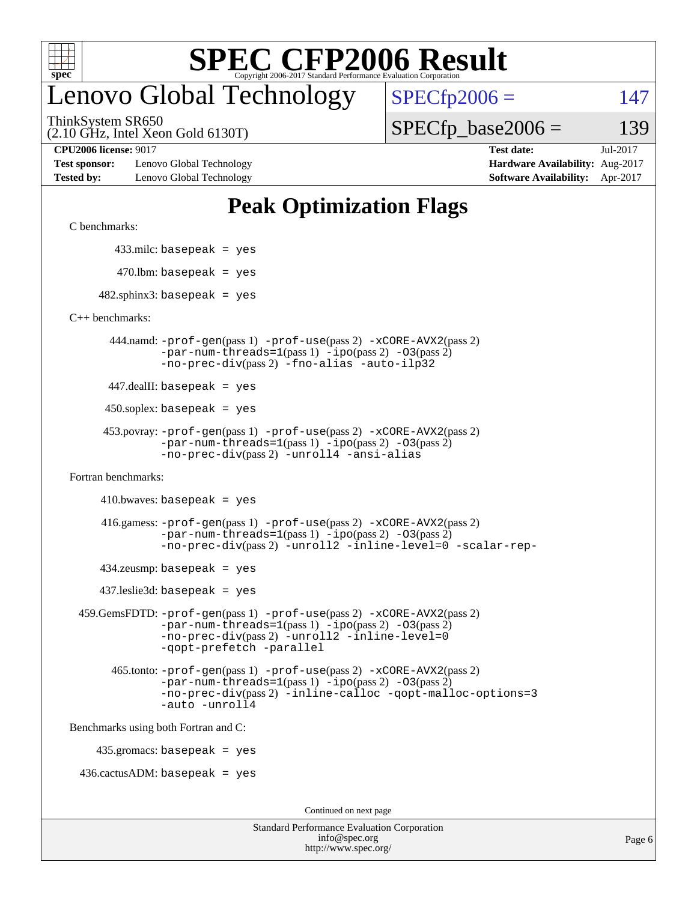

## enovo Global Technology

 $SPECfp2006 = 147$  $SPECfp2006 = 147$ 

(2.10 GHz, Intel Xeon Gold 6130T) ThinkSystem SR650

 $SPECTp\_base2006 = 139$ 

**[Test sponsor:](http://www.spec.org/auto/cpu2006/Docs/result-fields.html#Testsponsor)** Lenovo Global Technology **[Hardware Availability:](http://www.spec.org/auto/cpu2006/Docs/result-fields.html#HardwareAvailability)** Aug-2017 **[Tested by:](http://www.spec.org/auto/cpu2006/Docs/result-fields.html#Testedby)** Lenovo Global Technology **[Software Availability:](http://www.spec.org/auto/cpu2006/Docs/result-fields.html#SoftwareAvailability)** Apr-2017

**[CPU2006 license:](http://www.spec.org/auto/cpu2006/Docs/result-fields.html#CPU2006license)** 9017 **[Test date:](http://www.spec.org/auto/cpu2006/Docs/result-fields.html#Testdate)** Jul-2017

### **[Peak Optimization Flags](http://www.spec.org/auto/cpu2006/Docs/result-fields.html#PeakOptimizationFlags)**

[C benchmarks](http://www.spec.org/auto/cpu2006/Docs/result-fields.html#Cbenchmarks):

433.milc: basepeak = yes

 $470.$ lbm: basepeak = yes

 $482$ .sphinx3: basepeak = yes

[C++ benchmarks:](http://www.spec.org/auto/cpu2006/Docs/result-fields.html#CXXbenchmarks)

 444.namd: [-prof-gen](http://www.spec.org/cpu2006/results/res2017q4/cpu2006-20170918-49729.flags.html#user_peakPASS1_CXXFLAGSPASS1_LDFLAGS444_namd_prof_gen_e43856698f6ca7b7e442dfd80e94a8fc)(pass 1) [-prof-use](http://www.spec.org/cpu2006/results/res2017q4/cpu2006-20170918-49729.flags.html#user_peakPASS2_CXXFLAGSPASS2_LDFLAGS444_namd_prof_use_bccf7792157ff70d64e32fe3e1250b55)(pass 2) [-xCORE-AVX2](http://www.spec.org/cpu2006/results/res2017q4/cpu2006-20170918-49729.flags.html#user_peakPASS2_CXXFLAGSPASS2_LDFLAGS444_namd_f-xCORE-AVX2)(pass 2)  $-par-num-threads=1(pass 1) -ipo(pass 2) -O3(pass 2)$  $-par-num-threads=1(pass 1) -ipo(pass 2) -O3(pass 2)$  $-par-num-threads=1(pass 1) -ipo(pass 2) -O3(pass 2)$  $-par-num-threads=1(pass 1) -ipo(pass 2) -O3(pass 2)$  $-par-num-threads=1(pass 1) -ipo(pass 2) -O3(pass 2)$  $-par-num-threads=1(pass 1) -ipo(pass 2) -O3(pass 2)$ [-no-prec-div](http://www.spec.org/cpu2006/results/res2017q4/cpu2006-20170918-49729.flags.html#user_peakPASS2_CXXFLAGSPASS2_LDFLAGS444_namd_f-no-prec-div)(pass 2) [-fno-alias](http://www.spec.org/cpu2006/results/res2017q4/cpu2006-20170918-49729.flags.html#user_peakCXXOPTIMIZEOPTIMIZE444_namd_f-no-alias_694e77f6c5a51e658e82ccff53a9e63a) [-auto-ilp32](http://www.spec.org/cpu2006/results/res2017q4/cpu2006-20170918-49729.flags.html#user_peakCXXOPTIMIZE444_namd_f-auto-ilp32)

447.dealII: basepeak = yes

 $450$ .soplex: basepeak = yes

```
 453.povray: -prof-gen(pass 1) -prof-use(pass 2) -xCORE-AVX2(pass 2)
-par-num-threads=1-ipo-O3(pass 2)-no-prec-div(pass 2) -unroll4 -ansi-alias
```
[Fortran benchmarks](http://www.spec.org/auto/cpu2006/Docs/result-fields.html#Fortranbenchmarks):

 $410.bwaves: basepeak = yes$ 

 416.gamess: [-prof-gen](http://www.spec.org/cpu2006/results/res2017q4/cpu2006-20170918-49729.flags.html#user_peakPASS1_FFLAGSPASS1_LDFLAGS416_gamess_prof_gen_e43856698f6ca7b7e442dfd80e94a8fc)(pass 1) [-prof-use](http://www.spec.org/cpu2006/results/res2017q4/cpu2006-20170918-49729.flags.html#user_peakPASS2_FFLAGSPASS2_LDFLAGS416_gamess_prof_use_bccf7792157ff70d64e32fe3e1250b55)(pass 2) [-xCORE-AVX2](http://www.spec.org/cpu2006/results/res2017q4/cpu2006-20170918-49729.flags.html#user_peakPASS2_FFLAGSPASS2_LDFLAGS416_gamess_f-xCORE-AVX2)(pass 2)  $-par-num-threads=1(pass 1) -ipo(pass 2) -O3(pass 2)$  $-par-num-threads=1(pass 1) -ipo(pass 2) -O3(pass 2)$  $-par-num-threads=1(pass 1) -ipo(pass 2) -O3(pass 2)$  $-par-num-threads=1(pass 1) -ipo(pass 2) -O3(pass 2)$  $-par-num-threads=1(pass 1) -ipo(pass 2) -O3(pass 2)$  $-par-num-threads=1(pass 1) -ipo(pass 2) -O3(pass 2)$ [-no-prec-div](http://www.spec.org/cpu2006/results/res2017q4/cpu2006-20170918-49729.flags.html#user_peakPASS2_FFLAGSPASS2_LDFLAGS416_gamess_f-no-prec-div)(pass 2) [-unroll2](http://www.spec.org/cpu2006/results/res2017q4/cpu2006-20170918-49729.flags.html#user_peakOPTIMIZE416_gamess_f-unroll_784dae83bebfb236979b41d2422d7ec2) [-inline-level=0](http://www.spec.org/cpu2006/results/res2017q4/cpu2006-20170918-49729.flags.html#user_peakOPTIMIZE416_gamess_f-inline-level_318d07a09274ad25e8d15dbfaa68ba50) [-scalar-rep-](http://www.spec.org/cpu2006/results/res2017q4/cpu2006-20170918-49729.flags.html#user_peakOPTIMIZE416_gamess_f-disablescalarrep_abbcad04450fb118e4809c81d83c8a1d)

 $434$ .zeusmp: basepeak = yes

437.leslie3d: basepeak = yes

```
 459.GemsFDTD: -prof-gen(pass 1) -prof-use(pass 2) -xCORE-AVX2(pass 2)
   -par-num-threads=1-ipo-O3(pass 2)-no-prec-div(pass 2) -unroll2 -inline-level=0
   -qopt-prefetch -parallel
```
 465.tonto: [-prof-gen](http://www.spec.org/cpu2006/results/res2017q4/cpu2006-20170918-49729.flags.html#user_peakPASS1_FFLAGSPASS1_LDFLAGS465_tonto_prof_gen_e43856698f6ca7b7e442dfd80e94a8fc)(pass 1) [-prof-use](http://www.spec.org/cpu2006/results/res2017q4/cpu2006-20170918-49729.flags.html#user_peakPASS2_FFLAGSPASS2_LDFLAGS465_tonto_prof_use_bccf7792157ff70d64e32fe3e1250b55)(pass 2) [-xCORE-AVX2](http://www.spec.org/cpu2006/results/res2017q4/cpu2006-20170918-49729.flags.html#user_peakPASS2_FFLAGSPASS2_LDFLAGS465_tonto_f-xCORE-AVX2)(pass 2)  $-par-num-threads=1(pass 1) -ipo(pass 2) -O3(pass 2)$  $-par-num-threads=1(pass 1) -ipo(pass 2) -O3(pass 2)$  $-par-num-threads=1(pass 1) -ipo(pass 2) -O3(pass 2)$  $-par-num-threads=1(pass 1) -ipo(pass 2) -O3(pass 2)$  $-par-num-threads=1(pass 1) -ipo(pass 2) -O3(pass 2)$  $-par-num-threads=1(pass 1) -ipo(pass 2) -O3(pass 2)$ [-no-prec-div](http://www.spec.org/cpu2006/results/res2017q4/cpu2006-20170918-49729.flags.html#user_peakPASS2_FFLAGSPASS2_LDFLAGS465_tonto_f-no-prec-div)(pass 2) [-inline-calloc](http://www.spec.org/cpu2006/results/res2017q4/cpu2006-20170918-49729.flags.html#user_peakOPTIMIZE465_tonto_f-inline-calloc) [-qopt-malloc-options=3](http://www.spec.org/cpu2006/results/res2017q4/cpu2006-20170918-49729.flags.html#user_peakOPTIMIZE465_tonto_f-qopt-malloc-options_0fcb435012e78f27d57f473818e45fe4) [-auto](http://www.spec.org/cpu2006/results/res2017q4/cpu2006-20170918-49729.flags.html#user_peakOPTIMIZE465_tonto_f-auto) [-unroll4](http://www.spec.org/cpu2006/results/res2017q4/cpu2006-20170918-49729.flags.html#user_peakOPTIMIZE465_tonto_f-unroll_4e5e4ed65b7fd20bdcd365bec371b81f)

[Benchmarks using both Fortran and C](http://www.spec.org/auto/cpu2006/Docs/result-fields.html#BenchmarksusingbothFortranandC):

435.gromacs: basepeak = yes

 $436.cactusADM:basepeak = yes$ 

Continued on next page

| <b>Standard Performance Evaluation Corporation</b> |
|----------------------------------------------------|
| info@spec.org                                      |
| http://www.spec.org/                               |